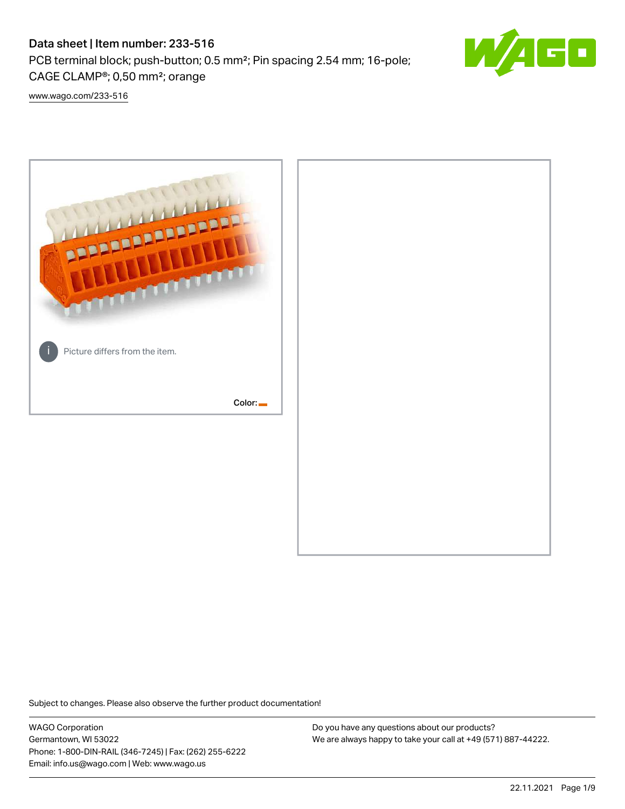# Data sheet | Item number: 233-516

PCB terminal block; push-button; 0.5 mm²; Pin spacing 2.54 mm; 16-pole; CAGE CLAMP®; 0,50 mm²; orange



[www.wago.com/233-516](http://www.wago.com/233-516)



Subject to changes. Please also observe the further product documentation!

WAGO Corporation Germantown, WI 53022 Phone: 1-800-DIN-RAIL (346-7245) | Fax: (262) 255-6222 Email: info.us@wago.com | Web: www.wago.us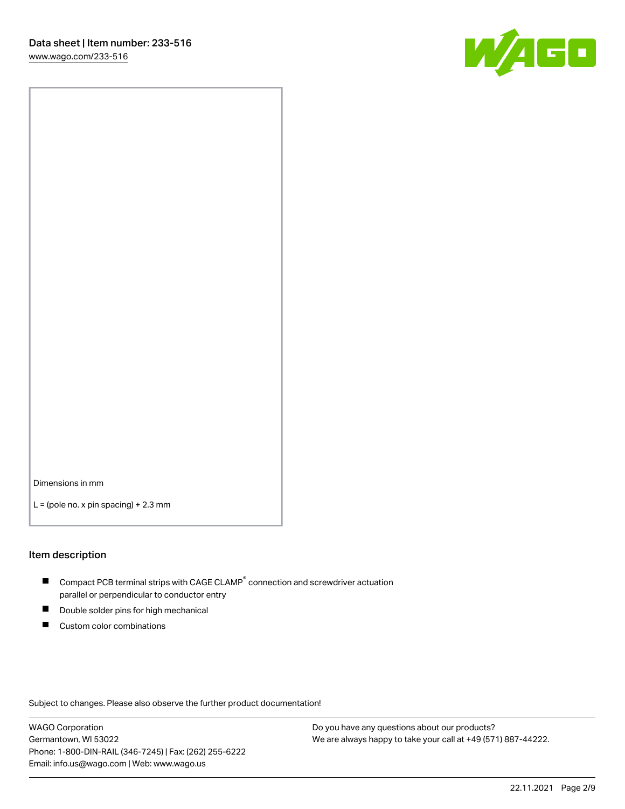

Dimensions in mm

 $L =$  (pole no. x pin spacing) + 2.3 mm

#### Item description

- $\blacksquare$  Compact PCB terminal strips with CAGE CLAMP<sup>®</sup> connection and screwdriver actuation parallel or perpendicular to conductor entry
- П Double solder pins for high mechanical
- $\blacksquare$ Custom color combinations

Subject to changes. Please also observe the further product documentation!

WAGO Corporation Germantown, WI 53022 Phone: 1-800-DIN-RAIL (346-7245) | Fax: (262) 255-6222 Email: info.us@wago.com | Web: www.wago.us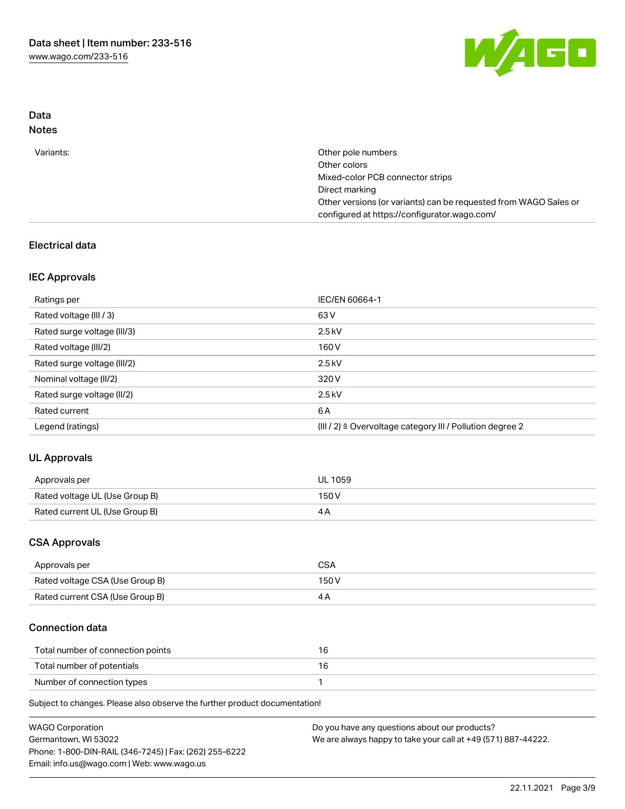

# Data Notes

| Variants: | Other pole numbers                                               |
|-----------|------------------------------------------------------------------|
|           | Other colors                                                     |
|           | Mixed-color PCB connector strips                                 |
|           | Direct marking                                                   |
|           | Other versions (or variants) can be requested from WAGO Sales or |
|           | configured at https://configurator.wago.com/                     |
|           |                                                                  |

# Electrical data

# IEC Approvals

| Ratings per                 | IEC/EN 60664-1                                                        |
|-----------------------------|-----------------------------------------------------------------------|
| Rated voltage (III / 3)     | 63 V                                                                  |
| Rated surge voltage (III/3) | $2.5$ kV                                                              |
| Rated voltage (III/2)       | 160 V                                                                 |
| Rated surge voltage (III/2) | $2.5$ kV                                                              |
| Nominal voltage (II/2)      | 320 V                                                                 |
| Rated surge voltage (II/2)  | $2.5$ kV                                                              |
| Rated current               | 6 A                                                                   |
| Legend (ratings)            | $(III / 2)$ $\triangle$ Overvoltage category III / Pollution degree 2 |

# UL Approvals

| Approvals per                  | <b>UL 1059</b> |
|--------------------------------|----------------|
| Rated voltage UL (Use Group B) | 150V           |
| Rated current UL (Use Group B) |                |

### CSA Approvals

| Approvals per                   | CSA   |
|---------------------------------|-------|
| Rated voltage CSA (Use Group B) | 150 V |
| Rated current CSA (Use Group B) |       |

# Connection data

| Total number of connection points |  |
|-----------------------------------|--|
| Total number of potentials        |  |
| Number of connection types        |  |

Subject to changes. Please also observe the further product documentation!

| <b>WAGO Corporation</b>                                | Do you have any questions about our products?                 |
|--------------------------------------------------------|---------------------------------------------------------------|
| Germantown, WI 53022                                   | We are always happy to take your call at +49 (571) 887-44222. |
| Phone: 1-800-DIN-RAIL (346-7245)   Fax: (262) 255-6222 |                                                               |
| Email: info.us@wago.com   Web: www.wago.us             |                                                               |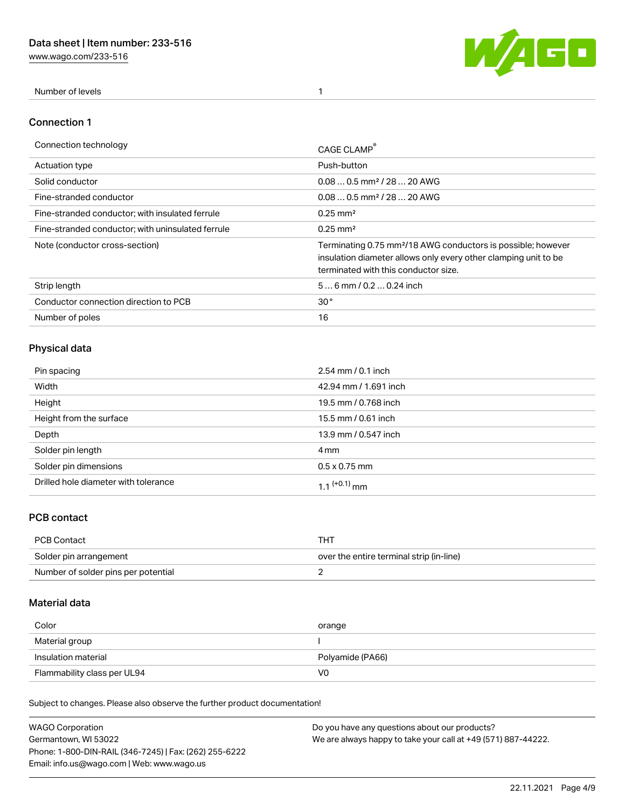[www.wago.com/233-516](http://www.wago.com/233-516)



Number of levels 1

#### Connection 1

| Connection technology                             | CAGE CLAMP                                                                                                                                                                          |
|---------------------------------------------------|-------------------------------------------------------------------------------------------------------------------------------------------------------------------------------------|
| Actuation type                                    | Push-button                                                                                                                                                                         |
| Solid conductor                                   | $0.080.5$ mm <sup>2</sup> / 28  20 AWG                                                                                                                                              |
| Fine-stranded conductor                           | $0.080.5$ mm <sup>2</sup> / 28  20 AWG                                                                                                                                              |
| Fine-stranded conductor; with insulated ferrule   | $0.25 \text{ mm}^2$                                                                                                                                                                 |
| Fine-stranded conductor; with uninsulated ferrule | $0.25 \text{ mm}^2$                                                                                                                                                                 |
| Note (conductor cross-section)                    | Terminating 0.75 mm <sup>2</sup> /18 AWG conductors is possible; however<br>insulation diameter allows only every other clamping unit to be<br>terminated with this conductor size. |
| Strip length                                      | $56$ mm / 0.2  0.24 inch                                                                                                                                                            |
| Conductor connection direction to PCB             | 30 <sup>°</sup>                                                                                                                                                                     |
| Number of poles                                   | 16                                                                                                                                                                                  |

# Physical data

| Pin spacing                          | $2.54 \, \text{mm}$ / 0.1 inch |
|--------------------------------------|--------------------------------|
| Width                                | 42.94 mm / 1.691 inch          |
| Height                               | 19.5 mm / 0.768 inch           |
| Height from the surface              | 15.5 mm / 0.61 inch            |
| Depth                                | 13.9 mm / 0.547 inch           |
| Solder pin length                    | 4 mm                           |
| Solder pin dimensions                | $0.5 \times 0.75$ mm           |
| Drilled hole diameter with tolerance | 1.1 <sup>(+0.1)</sup> mm       |

# PCB contact

| PCB Contact                         | THT                                      |
|-------------------------------------|------------------------------------------|
| Solder pin arrangement              | over the entire terminal strip (in-line) |
| Number of solder pins per potential |                                          |

# Material data

| Color               | orange           |
|---------------------|------------------|
| Material group      |                  |
| Insulation material |                  |
|                     | Polyamide (PA66) |

Subject to changes. Please also observe the further product documentation!

| <b>WAGO Corporation</b>                                | Do you have any questions about our products?                 |
|--------------------------------------------------------|---------------------------------------------------------------|
| Germantown, WI 53022                                   | We are always happy to take your call at +49 (571) 887-44222. |
| Phone: 1-800-DIN-RAIL (346-7245)   Fax: (262) 255-6222 |                                                               |
| Email: info.us@wago.com   Web: www.wago.us             |                                                               |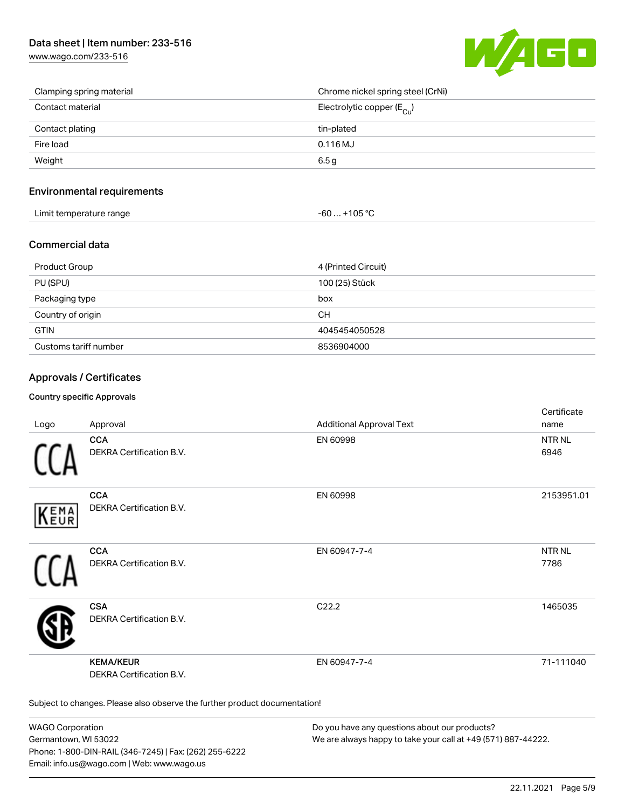# Data sheet | Item number: 233-516

[www.wago.com/233-516](http://www.wago.com/233-516)



| Clamping spring material | Chrome nickel spring steel (CrNi)       |
|--------------------------|-----------------------------------------|
| Contact material         | Electrolytic copper ( $E_{\text{Cu}}$ ) |
| Contact plating          | tin-plated                              |
| Fire load                | $0.116$ MJ                              |
| Weight                   | 6.5 <sub>g</sub>                        |

### Environmental requirements

| Limit temperature range | $-60+105 °C$ |
|-------------------------|--------------|
|-------------------------|--------------|

#### Commercial data

| <b>Product Group</b>  | 4 (Printed Circuit) |
|-----------------------|---------------------|
| PU (SPU)              | 100 (25) Stück      |
| Packaging type        | box                 |
| Country of origin     | CН                  |
| <b>GTIN</b>           | 4045454050528       |
| Customs tariff number | 8536904000          |

### Approvals / Certificates

#### Country specific Approvals

| Logo       | Approval                                                                   | <b>Additional Approval Text</b> | Certificate<br>name   |
|------------|----------------------------------------------------------------------------|---------------------------------|-----------------------|
|            | <b>CCA</b><br>DEKRA Certification B.V.                                     | EN 60998                        | <b>NTR NL</b><br>6946 |
| EMA<br>EUR | <b>CCA</b><br>DEKRA Certification B.V.                                     | EN 60998                        | 2153951.01            |
|            | <b>CCA</b><br>DEKRA Certification B.V.                                     | EN 60947-7-4                    | <b>NTR NL</b><br>7786 |
|            | <b>CSA</b><br>DEKRA Certification B.V.                                     | C <sub>22.2</sub>               | 1465035               |
|            | <b>KEMA/KEUR</b><br><b>DEKRA Certification B.V.</b>                        | EN 60947-7-4                    | 71-111040             |
|            | Subject to changes. Please also observe the further product documentation! |                                 |                       |

WAGO Corporation Germantown, WI 53022 Phone: 1-800-DIN-RAIL (346-7245) | Fax: (262) 255-6222 Email: info.us@wago.com | Web: www.wago.us

Do you have any questions about our products? We are always happy to take your call at +49 (571) 887-44222.

 $C$  cattle at  $\epsilon$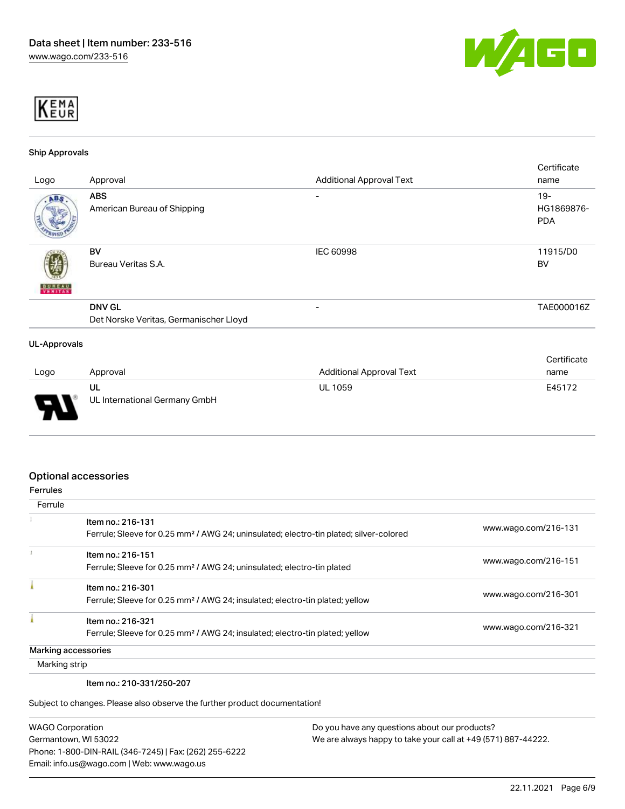



#### Ship Approvals

|                     |                                        |                                 | Certificate |
|---------------------|----------------------------------------|---------------------------------|-------------|
| Logo                | Approval                               | <b>Additional Approval Text</b> | name        |
| ABS.                | <b>ABS</b>                             | -                               | $19 -$      |
|                     | American Bureau of Shipping            |                                 | HG1869876-  |
|                     |                                        |                                 | <b>PDA</b>  |
|                     |                                        |                                 |             |
|                     | BV                                     | <b>IEC 60998</b>                | 11915/D0    |
|                     | Bureau Veritas S.A.                    |                                 | <b>BV</b>   |
|                     |                                        |                                 |             |
| <b>BUREAU</b>       |                                        |                                 |             |
|                     | <b>DNV GL</b>                          | -                               | TAE000016Z  |
|                     | Det Norske Veritas, Germanischer Lloyd |                                 |             |
| <b>UL-Approvals</b> |                                        |                                 |             |
|                     |                                        |                                 | Certificate |
| Logo                | Approval                               | <b>Additional Approval Text</b> | name        |

| Logo                          | Approval                      | <b>Additional Approval Text</b> | name   |
|-------------------------------|-------------------------------|---------------------------------|--------|
|                               | ul                            | <b>UL 1059</b>                  | E45172 |
| P<br>$\overline{\phantom{a}}$ | UL International Germany GmbH |                                 |        |

### Optional accessories

| <b>Ferrules</b> |                                                                                                                         |                      |
|-----------------|-------------------------------------------------------------------------------------------------------------------------|----------------------|
| Ferrule         |                                                                                                                         |                      |
|                 | Item no.: 216-131<br>Ferrule; Sleeve for 0.25 mm <sup>2</sup> / AWG 24; uninsulated; electro-tin plated; silver-colored | www.wago.com/216-131 |
|                 | Item no.: 216-151<br>Ferrule; Sleeve for 0.25 mm <sup>2</sup> / AWG 24; uninsulated; electro-tin plated                 | www.wago.com/216-151 |
|                 | Item no.: 216-301<br>Ferrule; Sleeve for 0.25 mm <sup>2</sup> / AWG 24; insulated; electro-tin plated; yellow           | www.wago.com/216-301 |
|                 | Item no.: 216-321<br>Ferrule; Sleeve for 0.25 mm <sup>2</sup> / AWG 24; insulated; electro-tin plated; yellow           | www.wago.com/216-321 |
|                 | Marking accessories                                                                                                     |                      |
| Marking strip   |                                                                                                                         |                      |

Item no.: 210-331/250-207

Subject to changes. Please also observe the further product documentation!

| <b>WAGO Corporation</b>                                |
|--------------------------------------------------------|
| Germantown, WI 53022                                   |
| Phone: 1-800-DIN-RAIL (346-7245)   Fax: (262) 255-6222 |
| Email: info.us@wago.com   Web: www.wago.us             |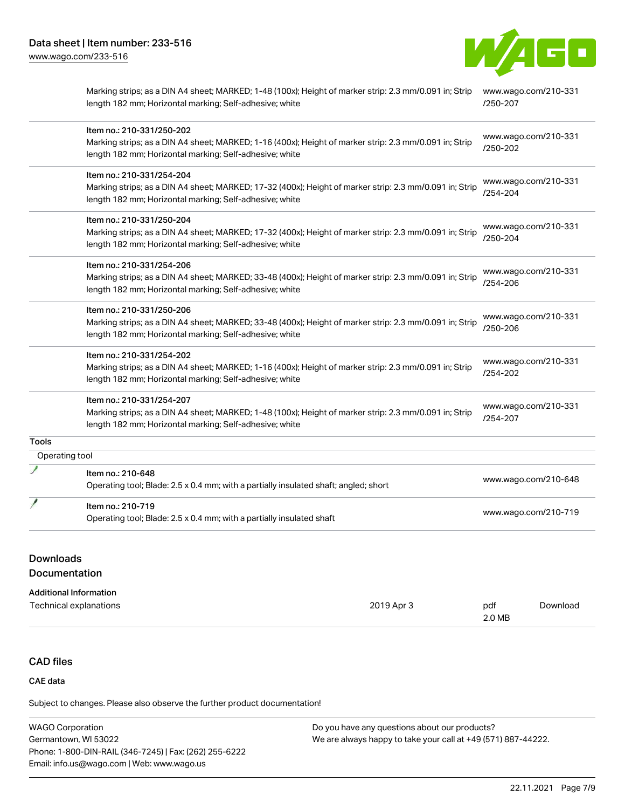

|                | Marking strips; as a DIN A4 sheet; MARKED; 1-48 (100x); Height of marker strip: 2.3 mm/0.091 in; Strip<br>length 182 mm; Horizontal marking; Self-adhesive; white  | www.wago.com/210-331<br>/250-207 |
|----------------|--------------------------------------------------------------------------------------------------------------------------------------------------------------------|----------------------------------|
|                | Item no.: 210-331/250-202                                                                                                                                          | www.wago.com/210-331             |
|                | Marking strips; as a DIN A4 sheet; MARKED; 1-16 (400x); Height of marker strip: 2.3 mm/0.091 in; Strip                                                             | /250-202                         |
|                | length 182 mm; Horizontal marking; Self-adhesive; white                                                                                                            |                                  |
|                | Item no.: 210-331/254-204                                                                                                                                          |                                  |
|                | Marking strips; as a DIN A4 sheet; MARKED; 17-32 (400x); Height of marker strip: 2.3 mm/0.091 in; Strip<br>length 182 mm; Horizontal marking; Self-adhesive; white | www.wago.com/210-331<br>/254-204 |
|                | Item no.: 210-331/250-204                                                                                                                                          |                                  |
|                | Marking strips; as a DIN A4 sheet; MARKED; 17-32 (400x); Height of marker strip: 2.3 mm/0.091 in; Strip                                                            | www.wago.com/210-331<br>/250-204 |
|                | length 182 mm; Horizontal marking; Self-adhesive; white                                                                                                            |                                  |
|                | Item no.: 210-331/254-206                                                                                                                                          |                                  |
|                | Marking strips; as a DIN A4 sheet; MARKED; 33-48 (400x); Height of marker strip: 2.3 mm/0.091 in; Strip                                                            | www.wago.com/210-331             |
|                | length 182 mm; Horizontal marking; Self-adhesive; white                                                                                                            | /254-206                         |
|                | Item no.: 210-331/250-206                                                                                                                                          |                                  |
|                | Marking strips; as a DIN A4 sheet; MARKED; 33-48 (400x); Height of marker strip: 2.3 mm/0.091 in; Strip                                                            | www.wago.com/210-331             |
|                | length 182 mm; Horizontal marking; Self-adhesive; white                                                                                                            | /250-206                         |
|                | Item no.: 210-331/254-202                                                                                                                                          |                                  |
|                | Marking strips; as a DIN A4 sheet; MARKED; 1-16 (400x); Height of marker strip: 2.3 mm/0.091 in; Strip                                                             | www.wago.com/210-331             |
|                | length 182 mm; Horizontal marking; Self-adhesive; white                                                                                                            | /254-202                         |
|                | Item no.: 210-331/254-207                                                                                                                                          |                                  |
|                | Marking strips; as a DIN A4 sheet; MARKED; 1-48 (100x); Height of marker strip: 2.3 mm/0.091 in; Strip                                                             | www.wago.com/210-331             |
|                | length 182 mm; Horizontal marking; Self-adhesive; white                                                                                                            | /254-207                         |
| <b>Tools</b>   |                                                                                                                                                                    |                                  |
| Operating tool |                                                                                                                                                                    |                                  |
|                | Item no.: 210-648                                                                                                                                                  |                                  |
|                | Operating tool; Blade: 2.5 x 0.4 mm; with a partially insulated shaft; angled; short                                                                               | www.wago.com/210-648             |
|                | Item no.: 210-719                                                                                                                                                  |                                  |
|                | Operating tool; Blade: 2.5 x 0.4 mm; with a partially insulated shaft                                                                                              | www.wago.com/210-719             |

# Downloads

Documentation

#### Additional Information

| Technical explanations | 2019 Apr 3 | pdf    | Download |
|------------------------|------------|--------|----------|
|                        |            | 2.0 MB |          |

# CAD files

# CAE data

Subject to changes. Please also observe the further product documentation!

| <b>WAGO Corporation</b>                                | Do you have any questions about our products?                 |
|--------------------------------------------------------|---------------------------------------------------------------|
| Germantown, WI 53022                                   | We are always happy to take your call at +49 (571) 887-44222. |
| Phone: 1-800-DIN-RAIL (346-7245)   Fax: (262) 255-6222 |                                                               |
| Email: info.us@wago.com   Web: www.wago.us             |                                                               |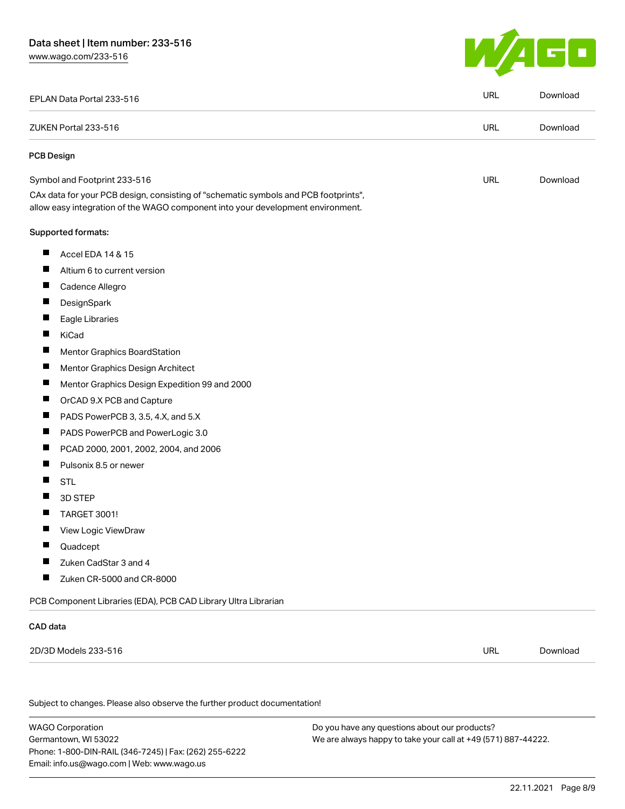

|                                                                                                                                                                        | <b>URL</b> | Download |
|------------------------------------------------------------------------------------------------------------------------------------------------------------------------|------------|----------|
|                                                                                                                                                                        | <b>URL</b> | Download |
|                                                                                                                                                                        |            |          |
|                                                                                                                                                                        | <b>URL</b> | Download |
| CAx data for your PCB design, consisting of "schematic symbols and PCB footprints",<br>allow easy integration of the WAGO component into your development environment. |            |          |
|                                                                                                                                                                        |            |          |
|                                                                                                                                                                        |            |          |
| Altium 6 to current version                                                                                                                                            |            |          |
|                                                                                                                                                                        |            |          |
|                                                                                                                                                                        |            |          |
|                                                                                                                                                                        |            |          |
|                                                                                                                                                                        |            |          |
| Mentor Graphics BoardStation                                                                                                                                           |            |          |
| Mentor Graphics Design Architect                                                                                                                                       |            |          |
| Mentor Graphics Design Expedition 99 and 2000                                                                                                                          |            |          |
| OrCAD 9.X PCB and Capture                                                                                                                                              |            |          |
| PADS PowerPCB 3, 3.5, 4.X, and 5.X                                                                                                                                     |            |          |
| PADS PowerPCB and PowerLogic 3.0                                                                                                                                       |            |          |
| PCAD 2000, 2001, 2002, 2004, and 2006                                                                                                                                  |            |          |
|                                                                                                                                                                        |            |          |
|                                                                                                                                                                        |            |          |
|                                                                                                                                                                        |            |          |
|                                                                                                                                                                        |            |          |
|                                                                                                                                                                        |            |          |
|                                                                                                                                                                        |            |          |
|                                                                                                                                                                        |            |          |
| Zuken CR-5000 and CR-8000                                                                                                                                              |            |          |
| PCB Component Libraries (EDA), PCB CAD Library Ultra Librarian                                                                                                         |            |          |
|                                                                                                                                                                        |            |          |
|                                                                                                                                                                        | URL        | Download |
| Subject to changes. Please also observe the further product documentation!                                                                                             |            |          |

WAGO Corporation Germantown, WI 53022 Phone: 1-800-DIN-RAIL (346-7245) | Fax: (262) 255-6222 Email: info.us@wago.com | Web: www.wago.us